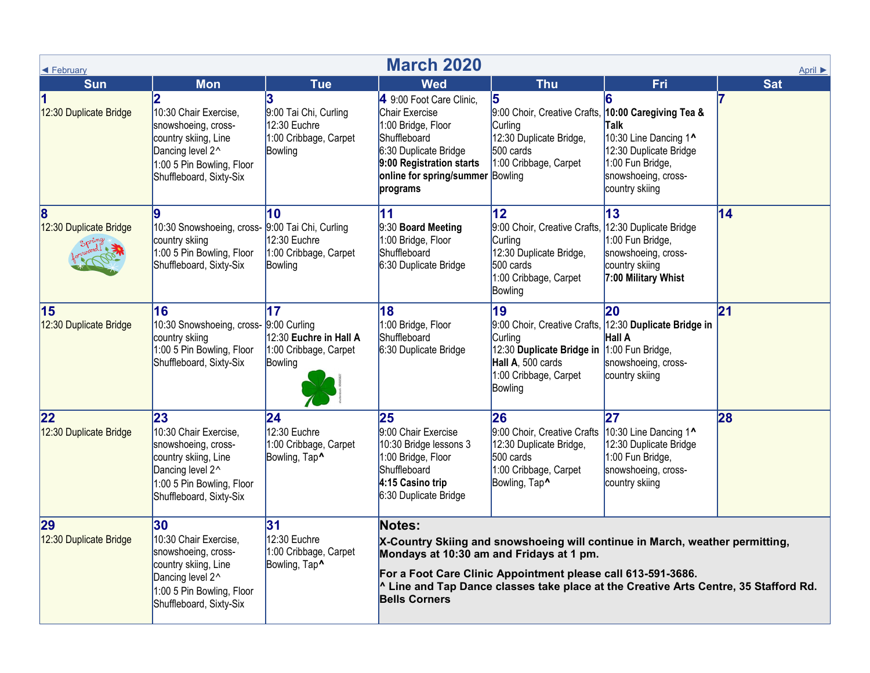| <b>March 2020</b><br>← February<br>April ▶ |                                                                                                                                                                             |                                                                                |                                                                                                                                                                                                                                                                                                                             |                                                                                                                                                                                |                                                                                                                      |            |  |  |  |  |  |
|--------------------------------------------|-----------------------------------------------------------------------------------------------------------------------------------------------------------------------------|--------------------------------------------------------------------------------|-----------------------------------------------------------------------------------------------------------------------------------------------------------------------------------------------------------------------------------------------------------------------------------------------------------------------------|--------------------------------------------------------------------------------------------------------------------------------------------------------------------------------|----------------------------------------------------------------------------------------------------------------------|------------|--|--|--|--|--|
| <b>Sun</b>                                 | <b>Mon</b>                                                                                                                                                                  | <b>Tue</b>                                                                     | <b>Wed</b>                                                                                                                                                                                                                                                                                                                  | <b>Thu</b>                                                                                                                                                                     | Fri                                                                                                                  | <b>Sat</b> |  |  |  |  |  |
| 11<br>12:30 Duplicate Bridge               | $\overline{\mathbf{2}}$<br>10:30 Chair Exercise,<br>snowshoeing, cross-<br>country skiing, Line<br>Dancing level 2^<br>1:00 5 Pin Bowling, Floor<br>Shuffleboard, Sixty-Six | 3<br>9:00 Tai Chi, Curling<br>12:30 Euchre<br>1:00 Cribbage, Carpet<br>Bowling | 4 9:00 Foot Care Clinic,<br>Chair Exercise<br>1:00 Bridge, Floor<br>Shuffleboard<br>6:30 Duplicate Bridge<br>9:00 Registration starts<br>online for spring/summer Bowling<br>programs                                                                                                                                       | 15<br>9:00 Choir, Creative Crafts, 10:00 Caregiving Tea &<br><b>Curling</b><br>12:30 Duplicate Bridge,<br>500 cards<br>1:00 Cribbage, Carpet                                   | Talk<br>10:30 Line Dancing 1^<br>12:30 Duplicate Bridge<br>1:00 Fun Bridge,<br>snowshoeing, cross-<br>country skiing |            |  |  |  |  |  |
| 8<br>12:30 Duplicate Bridge                | 10:30 Snowshoeing, cross- 9:00 Tai Chi, Curling<br>country skiing<br>1:00 5 Pin Bowling, Floor<br>Shuffleboard, Sixty-Six                                                   | 10<br>12:30 Euchre<br>1:00 Cribbage, Carpet<br>Bowling                         | $\mathbf{11}$<br>9:30 Board Meeting<br>1:00 Bridge, Floor<br>Shuffleboard<br>6:30 Duplicate Bridge                                                                                                                                                                                                                          | 12 <sub>2</sub><br>9:00 Choir, Creative Crafts, 12:30 Duplicate Bridge<br>Curling<br>12:30 Duplicate Bridge,<br>500 cards<br>1:00 Cribbage, Carpet<br>Bowling                  | 13<br>1:00 Fun Bridge,<br>snowshoeing, cross-<br>country skiing<br>7:00 Military Whist                               | 14         |  |  |  |  |  |
| 15<br>12:30 Duplicate Bridge               | 16<br>10:30 Snowshoeing, cross- 9:00 Curling<br>country skiing<br>1:00 5 Pin Bowling, Floor<br>Shuffleboard, Sixty-Six                                                      | 17<br>12:30 Euchre in Hall A<br>1:00 Cribbage, Carpet<br>Bowling               | 18<br>1:00 Bridge, Floor<br>Shuffleboard<br>6:30 Duplicate Bridge                                                                                                                                                                                                                                                           | 19<br>9:00 Choir, Creative Crafts, 12:30 Duplicate Bridge in<br>Curling<br>12:30 Duplicate Bridge in 1:00 Fun Bridge,<br>Hall A, 500 cards<br>1:00 Cribbage, Carpet<br>Bowling | 20<br>Hall A<br>snowshoeing, cross-<br>country skiing                                                                | 21         |  |  |  |  |  |
| 22<br>12:30 Duplicate Bridge               | 23<br>10:30 Chair Exercise,<br>snowshoeing, cross-<br>country skiing, Line<br>Dancing level 2^<br>1:00 5 Pin Bowling, Floor<br>Shuffleboard, Sixty-Six                      | 24 <br>12:30 Euchre<br>1:00 Cribbage, Carpet<br>Bowling, Tap^                  | 25<br>9:00 Chair Exercise<br>10:30 Bridge lessons 3<br>1:00 Bridge, Floor<br>Shuffleboard<br>4:15 Casino trip<br>6:30 Duplicate Bridge                                                                                                                                                                                      | 26<br>9:00 Choir, Creative Crafts 10:30 Line Dancing 1^<br>12:30 Duplicate Bridge,<br>500 cards<br>1:00 Cribbage, Carpet<br>Bowling, Tap <sup>^</sup>                          | 27<br>12:30 Duplicate Bridge<br>1:00 Fun Bridge,<br>snowshoeing, cross-<br>country skiing                            | 28         |  |  |  |  |  |
| 29<br>12:30 Duplicate Bridge               | 30<br>10:30 Chair Exercise,<br>snowshoeing, cross-<br>country skiing, Line<br>Dancing level 2^<br>1:00 5 Pin Bowling, Floor<br>Shuffleboard, Sixty-Six                      | 31<br>12:30 Euchre<br>1:00 Cribbage, Carpet<br>Bowling, Tap <sup>^</sup>       | Notes:<br>X-Country Skiing and snowshoeing will continue in March, weather permitting,<br>Mondays at 10:30 am and Fridays at 1 pm.<br>For a Foot Care Clinic Appointment please call 613-591-3686.<br>$^{\circ}$ Line and Tap Dance classes take place at the Creative Arts Centre, 35 Stafford Rd.<br><b>Bells Corners</b> |                                                                                                                                                                                |                                                                                                                      |            |  |  |  |  |  |